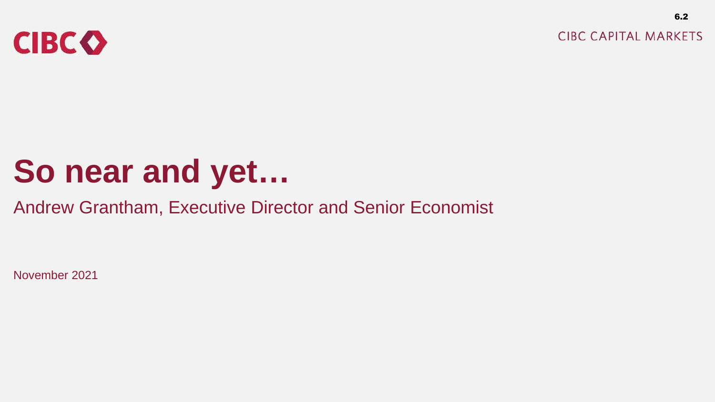

**CIBC CAPITAL MARKETS** 

6.2

# **So near and yet…**

### Andrew Grantham, Executive Director and Senior Economist

November 2021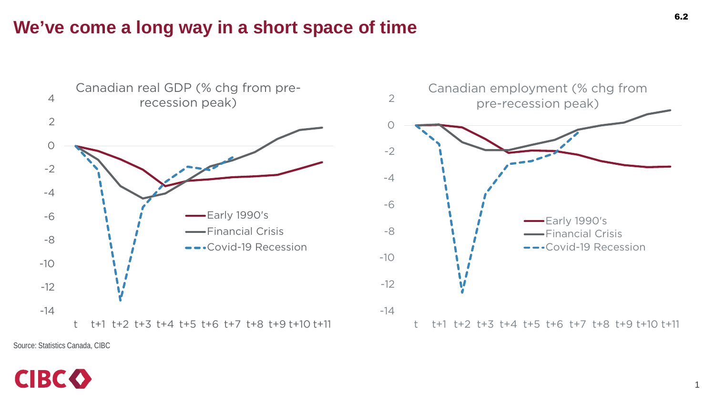#### **We've come a long way in a short space of time**



Source: Statistics Canada, CIBC

## **CIBCO**

1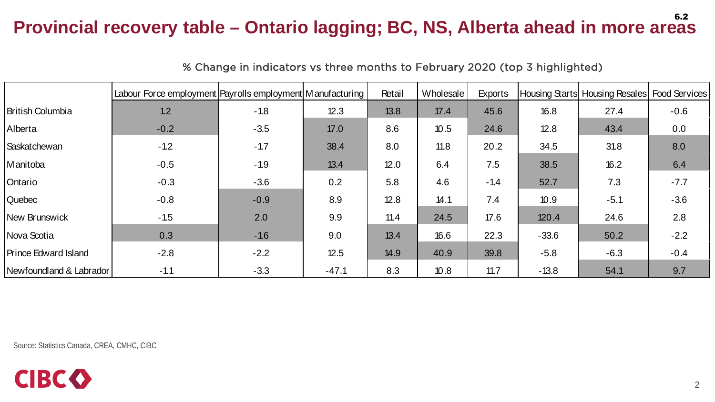#### **Provincial recovery table – Ontario lagging; BC, NS, Alberta ahead in more areas**  6.2

|                             | Labour Force employment Payrolls employment Manufacturing |        |         | Retail | Wholesale | <b>Exports</b> |         | Housing Starts Housing Resales Food Services |        |
|-----------------------------|-----------------------------------------------------------|--------|---------|--------|-----------|----------------|---------|----------------------------------------------|--------|
| <b>British Columbia</b>     | 1.2                                                       | $-1.8$ | 12.3    | 13.8   | 17.4      | 45.6           | 16.8    | 27.4                                         | $-0.6$ |
| Alberta                     | $-0.2$                                                    | $-3.5$ | 17.0    | 8.6    | 10.5      | 24.6           | 12.8    | 43.4                                         | 0.0    |
| Saskatchewan                | $-1.2$                                                    | $-1.7$ | 38.4    | 8.0    | 11.8      | 20.2           | 34.5    | 31.8                                         | 8.0    |
| Manitoba                    | $-0.5$                                                    | $-1.9$ | 13.4    | 12.0   | 6.4       | 7.5            | 38.5    | 16.2                                         | 6.4    |
| Ontario                     | $-0.3$                                                    | $-3.6$ | 0.2     | 5.8    | 4.6       | $-1.4$         | 52.7    | 7.3                                          | $-7.7$ |
| Quebec                      | $-0.8$                                                    | $-0.9$ | 8.9     | 12.8   | 14.1      | 7.4            | 10.9    | $-5.1$                                       | $-3.6$ |
| New Brunswick               | $-1.5$                                                    | 2.0    | 9.9     | 11.4   | 24.5      | 17.6           | 120.4   | 24.6                                         | 2.8    |
| Nova Scotia                 | 0.3                                                       | $-1.6$ | 9.0     | 13.4   | 16.6      | 22.3           | $-33.6$ | 50.2                                         | $-2.2$ |
| <b>Prince Edward Island</b> | $-2.8$                                                    | $-2.2$ | 12.5    | 14.9   | 40.9      | 39.8           | $-5.8$  | $-6.3$                                       | $-0.4$ |
| Newfoundland & Labrador     | $-1.1$                                                    | $-3.3$ | $-47.1$ | 8.3    | 10.8      | 11.7           | $-13.8$ | 54.1                                         | 9.7    |

% Change in indicators vs three months to February 2020 (top 3 highlighted)

Source: Statistics Canada, CREA, CMHC, CIBC

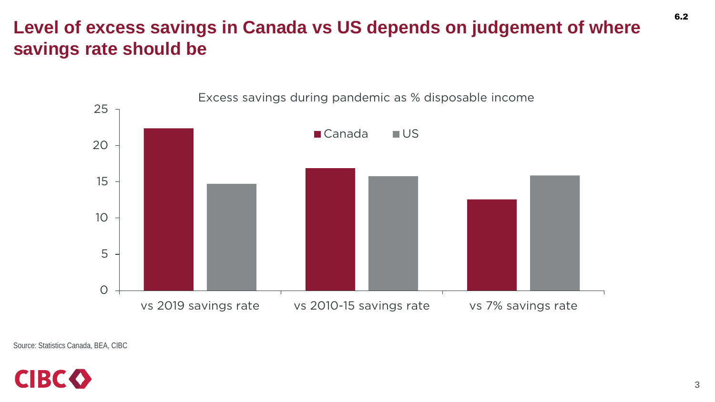### **Level of excess savings in Canada vs US depends on judgement of where savings rate should be**



Source: Statistics Canada, BEA, CIBC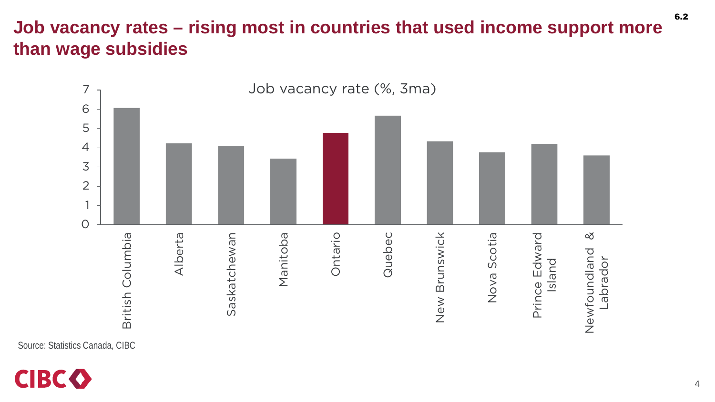### **Job vacancy rates – rising most in countries that used income support more than wage subsidies**



Source: Statistics Canada, CIBC



6.2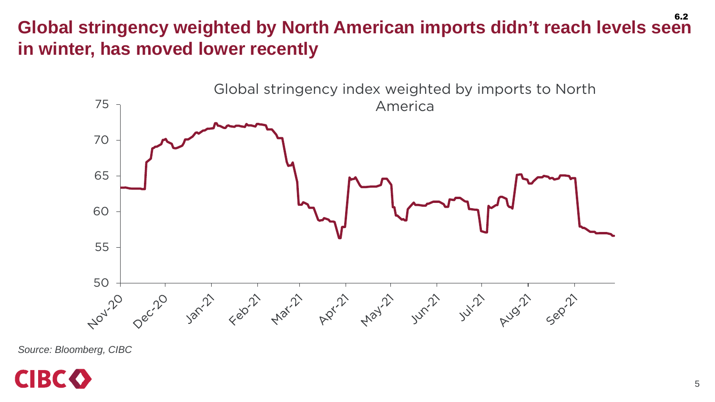#### **Global stringency weighted by North American imports didn't reach levels seen in winter, has moved lower recently** 6.2



*Source: Bloomberg, CIBC*

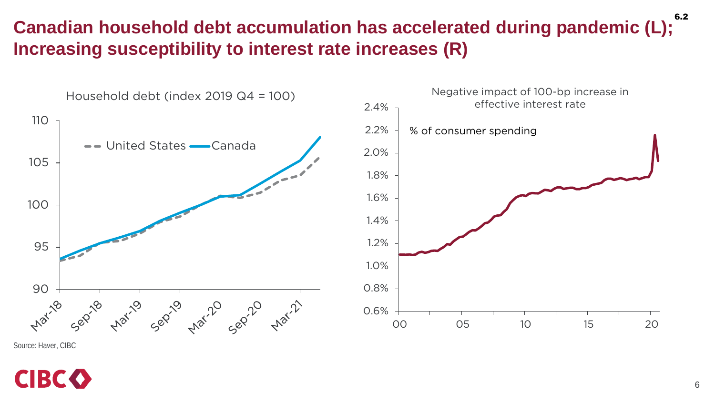#### **Canadian household debt accumulation has accelerated during pandemic (L); Increasing susceptibility to interest rate increases (R)** 6.2



Source: Haver, CIBC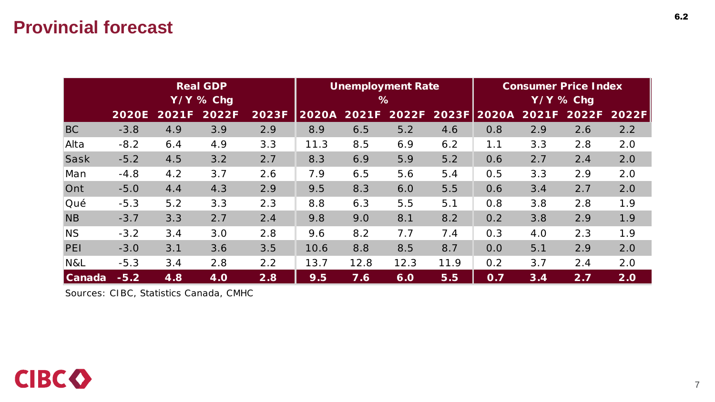#### **Provincial forecast**

|            | <b>Real GDP</b><br>$Y/Y$ % Chg |       |            |       |              |       | <b>Unemployment Rate</b><br>$\%$ |      | <b>Consumer Price Index</b><br>$Y/Y$ % Chg |     |             |       |  |
|------------|--------------------------------|-------|------------|-------|--------------|-------|----------------------------------|------|--------------------------------------------|-----|-------------|-------|--|
|            | <b>2020E</b>                   | 2021F | 2022F      | 2023F | <b>2020A</b> | 2021F | 2022F                            |      | 2023F 2020A                                |     | 2021F 2022F | 2022F |  |
| <b>BC</b>  | $-3.8$                         | 4.9   | 3.9        | 2.9   | 8.9          | 6.5   | 5.2                              | 4.6  | 0.8                                        | 2.9 | 2.6         | 2.2   |  |
| Alta       | $-8.2$                         | 6.4   | 4.9        | 3.3   | 11.3         | 8.5   | 6.9                              | 6.2  | 1.1                                        | 3.3 | 2.8         | 2.0   |  |
| Sask       | $-5.2$                         | 4.5   | 3.2        | 2.7   | 8.3          | 6.9   | 5.9                              | 5.2  | 0.6                                        | 2.7 | 2.4         | 2.0   |  |
| Man        | $-4.8$                         | 4.2   | 3.7        | 2.6   | 7.9          | 6.5   | 5.6                              | 5.4  | 0.5                                        | 3.3 | 2.9         | 2.0   |  |
| Ont        | $-5.0$                         | 4.4   | 4.3        | 2.9   | 9.5          | 8.3   | 6.0                              | 5.5  | 0.6                                        | 3.4 | 2.7         | 2.0   |  |
| <b>Oué</b> | $-5.3$                         | 5.2   | 3.3        | 2.3   | 8.8          | 6.3   | 5.5                              | 5.1  | 0.8                                        | 3.8 | 2.8         | 1.9   |  |
| <b>NB</b>  | $-3.7$                         | 3.3   | 2.7        | 2.4   | 9.8          | 9.0   | 8.1                              | 8.2  | 0.2                                        | 3.8 | 2.9         | 1.9   |  |
| <b>NS</b>  | $-3.2$                         | 3.4   | 3.0        | 2.8   | 9.6          | 8.2   | 7.7                              | 7.4  | 0.3                                        | 4.0 | 2.3         | 1.9   |  |
| PEI        | $-3.0$                         | 3.1   | 3.6        | 3.5   | 10.6         | 8.8   | 8.5                              | 8.7  | 0.0                                        | 5.1 | 2.9         | 2.0   |  |
| N&L        | $-5.3$                         | 3.4   | 2.8        | 2.2   | 13.7         | 12.8  | 12.3                             | 11.9 | 0.2                                        | 3.7 | 2.4         | 2.0   |  |
| Canada     | $-5.2$                         | 4.8   | <b>4.0</b> | 2.8   | 9.5          | 7.6   | 6.0                              | 5.5  | 0.7                                        | 3.4 | 2.7         | 2.0   |  |

*Sources: CIBC, Statistics Canada, CMHC*

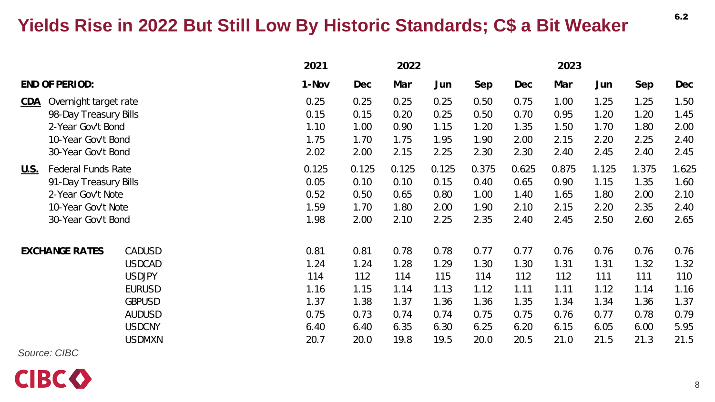### **Yields Rise in 2022 But Still Low By Historic Standards; C\$ a Bit Weaker**

|                                                                   |                                            | 2021<br>2022 |                                                                                                                                                       |       | 2023  |       |       |       |       |            |            |
|-------------------------------------------------------------------|--------------------------------------------|--------------|-------------------------------------------------------------------------------------------------------------------------------------------------------|-------|-------|-------|-------|-------|-------|------------|------------|
| <b>END OF PERIOD:</b>                                             |                                            |              | Dec                                                                                                                                                   | Mar   | Jun   | Sep   | Dec   | Mar   | Jun   | <b>Sep</b> | <b>Dec</b> |
| CDA<br>Overnight target rate                                      |                                            |              | 0.25                                                                                                                                                  | 0.25  | 0.25  | 0.50  | 0.75  | 1.00  | 1.25  | 1.25       | 1.50       |
|                                                                   |                                            |              | 0.15                                                                                                                                                  | 0.20  | 0.25  | 0.50  | 0.70  | 0.95  | 1.20  | 1.20       | 1.45       |
|                                                                   |                                            |              | 1.00                                                                                                                                                  | 0.90  | 1.15  | 1.20  | 1.35  | 1.50  | 1.70  | 1.80       | 2.00       |
| 10-Year Gov't Bond                                                |                                            |              | 1.70                                                                                                                                                  | 1.75  | 1.95  | 1.90  | 2.00  | 2.15  | 2.20  | 2.25       | 2.40       |
| 30-Year Gov't Bond                                                |                                            |              | 2.00                                                                                                                                                  | 2.15  | 2.25  | 2.30  | 2.30  | 2.40  | 2.45  | 2.40       | 2.45       |
| <b>Federal Funds Rate</b><br><u>U.S.</u><br>91-Day Treasury Bills |                                            |              | 0.125                                                                                                                                                 | 0.125 | 0.125 | 0.375 | 0.625 | 0.875 | 1.125 | 1.375      | 1.625      |
|                                                                   |                                            |              | 0.10                                                                                                                                                  | 0.10  | 0.15  | 0.40  | 0.65  | 0.90  | 1.15  | 1.35       | 1.60       |
| 2-Year Gov't Note                                                 |                                            |              | 0.50                                                                                                                                                  | 0.65  | 0.80  | 1.00  | 1.40  | 1.65  | 1.80  | 2.00       | 2.10       |
| 10-Year Gov't Note                                                |                                            |              | 1.70                                                                                                                                                  | 1.80  | 2.00  | 1.90  | 2.10  | 2.15  | 2.20  | 2.35       | 2.40       |
| 30-Year Gov't Bond                                                |                                            |              | 2.00                                                                                                                                                  | 2.10  | 2.25  | 2.35  | 2.40  | 2.45  | 2.50  | 2.60       | 2.65       |
| <b>CADUSD</b>                                                     |                                            |              | 0.81                                                                                                                                                  | 0.78  | 0.78  | 0.77  | 0.77  | 0.76  | 0.76  | 0.76       | 0.76       |
| <b>USDCAD</b>                                                     |                                            |              | 1.24                                                                                                                                                  | 1.28  | 1.29  | 1.30  | 1.30  | 1.31  | 1.31  | 1.32       | 1.32       |
| <b>USDJPY</b>                                                     |                                            |              | 112                                                                                                                                                   | 114   | 115   | 114   | 112   | 112   | 111   | 111        | 110        |
| <b>EURUSD</b>                                                     |                                            |              | 1.15                                                                                                                                                  | 1.14  | 1.13  | 1.12  | 1.11  | 1.11  | 1.12  | 1.14       | 1.16       |
| <b>GBPUSD</b>                                                     |                                            |              | 1.38                                                                                                                                                  | 1.37  | 1.36  | 1.36  | 1.35  | 1.34  | 1.34  | 1.36       | 1.37       |
| <b>AUDUSD</b>                                                     |                                            |              | 0.73                                                                                                                                                  | 0.74  | 0.74  | 0.75  | 0.75  | 0.76  | 0.77  | 0.78       | 0.79       |
| <b>USDCNY</b>                                                     |                                            |              | 6.40                                                                                                                                                  | 6.35  | 6.30  | 6.25  | 6.20  | 6.15  | 6.05  | 6.00       | 5.95       |
| <b>USDMXN</b>                                                     |                                            |              | 20.0                                                                                                                                                  | 19.8  | 19.5  | 20.0  | 20.5  | 21.0  | 21.5  | 21.3       | 21.5       |
|                                                                   | 98-Day Treasury Bills<br>2-Year Gov't Bond |              | 1-Nov<br>0.25<br>0.15<br>1.10<br>1.75<br>2.02<br>0.125<br>0.05<br>0.52<br>1.59<br>1.98<br>0.81<br>1.24<br>114<br>1.16<br>1.37<br>0.75<br>6.40<br>20.7 |       |       |       |       |       |       |            |            |

*Source: CIBC*



6.2